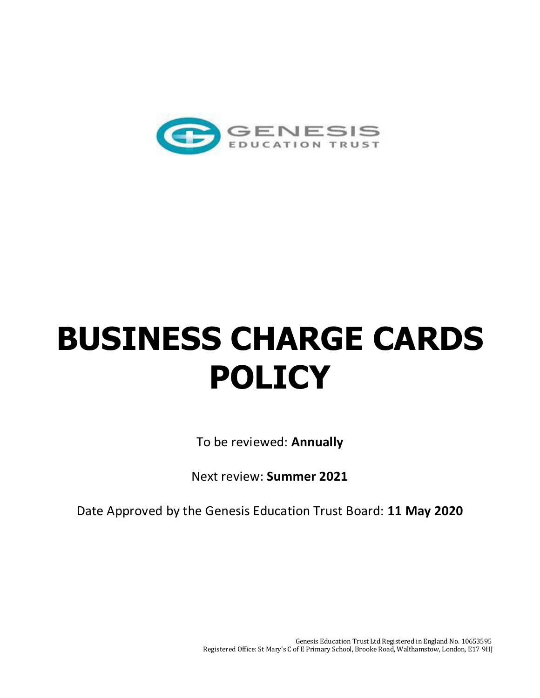

## **BUSINESS CHARGE CARDS POLICY**

To be reviewed: **Annually** 

Next review: **Summer 2021** 

Date Approved by the Genesis Education Trust Board: **11 May 2020**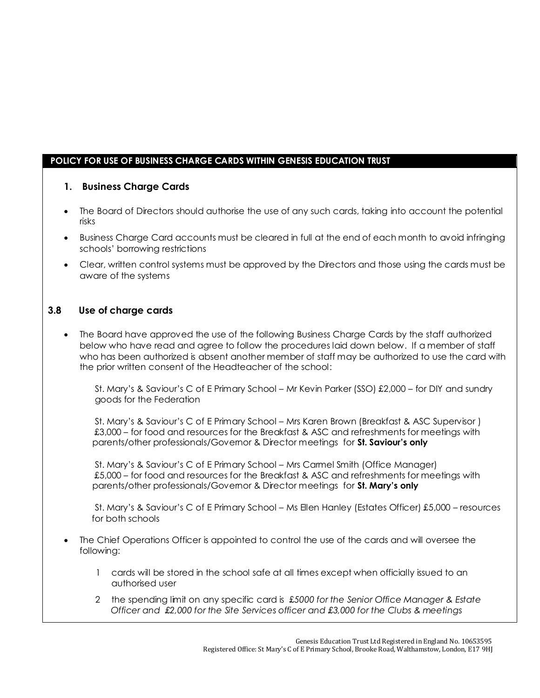## **POLICY FOR USE OF BUSINESS CHARGE CARDS WITHIN GENESIS EDUCATION TRUST**

## **1. Business Charge Cards**

- The Board of Directors should authorise the use of any such cards, taking into account the potential risks
- Business Charge Card accounts must be cleared in full at the end of each month to avoid infringing schools' borrowing restrictions
- Clear, written control systems must be approved by the Directors and those using the cards must be aware of the systems

## **3.8 Use of charge cards**

• The Board have approved the use of the following Business Charge Cards by the staff authorized below who have read and agree to follow the procedures laid down below. If a member of staff who has been authorized is absent another member of staff may be authorized to use the card with the prior written consent of the Headteacher of the school:

 St. Mary's & Saviour's C of E Primary School – Mr Kevin Parker (SSO) £2,000 – for DIY and sundry goods for the Federation

 St. Mary's & Saviour's C of E Primary School – Mrs Karen Brown (Breakfast & ASC Supervisor ) £3,000 – for food and resources for the Breakfast & ASC and refreshments for meetings with parents/other professionals/Governor & Director meetings for **St. Saviour's only**

 St. Mary's & Saviour's C of E Primary School – Mrs Carmel Smith (Office Manager) £5,000 – for food and resources for the Breakfast & ASC and refreshments for meetings with parents/other professionals/Governor & Director meetings for **St. Mary's only**

 St. Mary's & Saviour's C of E Primary School – Ms Ellen Hanley (Estates Officer) £5,000 – resources for both schools

- The Chief Operations Officer is appointed to control the use of the cards and will oversee the following:
	- 1 cards will be stored in the school safe at all times except when officially issued to an authorised user
	- 2 the spending limit on any specific card is £*5000 for the Senior Office Manager & Estate Officer and £2,000 for the Site Services officer and £3,000 for the Clubs & meetings*